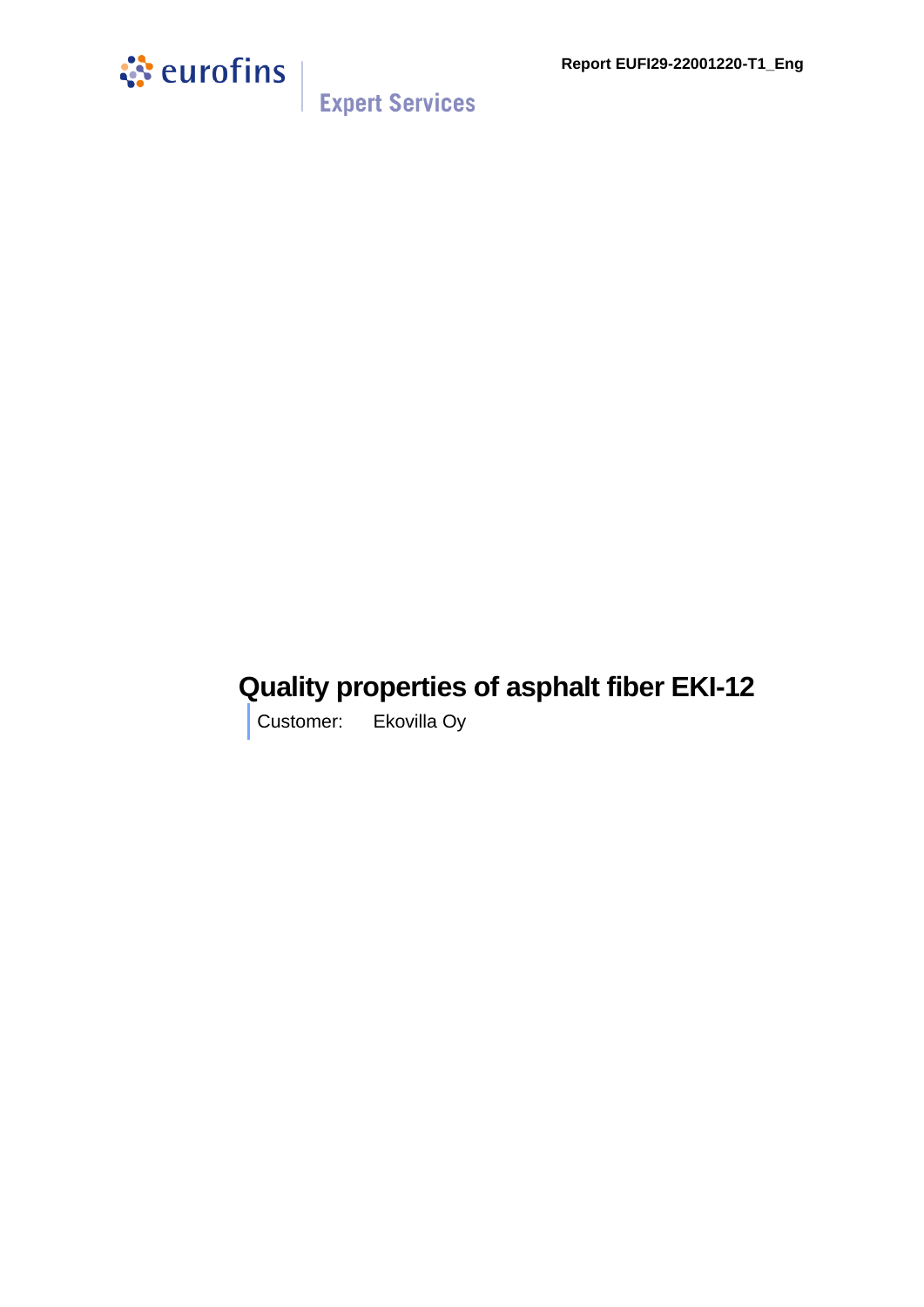**Report EUFI29-22001220-T1\_Eng**



**Expert Services** 

## **Quality properties of asphalt fiber EKI-12**

Customer: Ekovilla Oy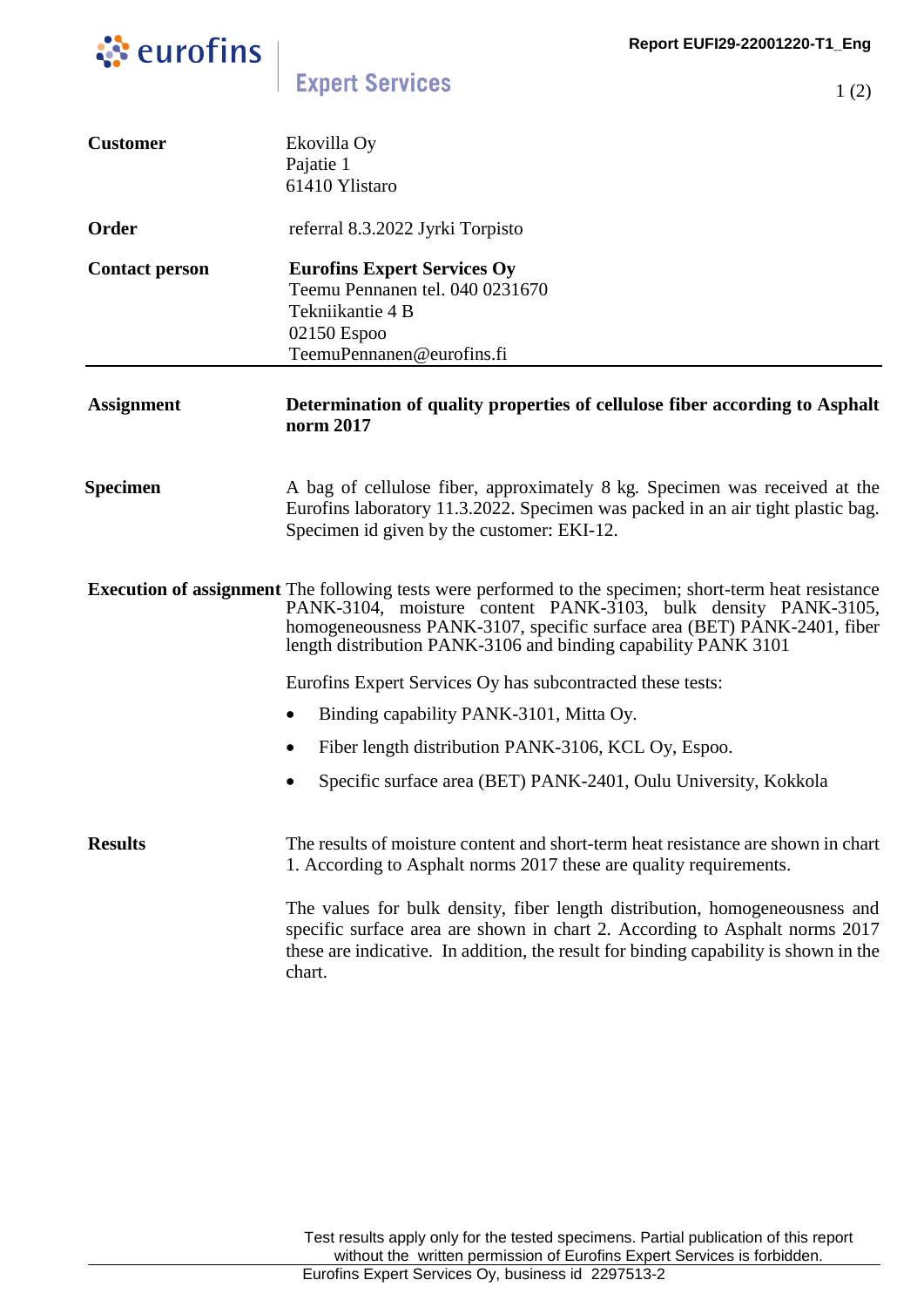1 (2)



**Expert Services** 

| <b>Customer</b>       | Ekovilla Oy<br>Pajatie 1<br>61410 Ylistaro                                                                                                                                                                                                                                                                                   |
|-----------------------|------------------------------------------------------------------------------------------------------------------------------------------------------------------------------------------------------------------------------------------------------------------------------------------------------------------------------|
| Order                 | referral 8.3.2022 Jyrki Torpisto                                                                                                                                                                                                                                                                                             |
| <b>Contact person</b> | <b>Eurofins Expert Services Oy</b><br>Teemu Pennanen tel. 040 0231670<br>Tekniikantie 4 B<br>02150 Espoo<br>TeemuPennanen@eurofins.fi                                                                                                                                                                                        |
| <b>Assignment</b>     | Determination of quality properties of cellulose fiber according to Asphalt<br>norm 2017                                                                                                                                                                                                                                     |
| <b>Specimen</b>       | A bag of cellulose fiber, approximately 8 kg. Specimen was received at the<br>Eurofins laboratory 11.3.2022. Specimen was packed in an air tight plastic bag.<br>Specimen id given by the customer: EKI-12.                                                                                                                  |
|                       | <b>Execution of assignment</b> The following tests were performed to the specimen; short-term heat resistance<br>PANK-3104, moisture content PANK-3103, bulk density PANK-3105,<br>homogeneousness PANK-3107, specific surface area (BET) PANK-2401, fiber<br>length distribution PANK-3106 and binding capability PANK 3101 |
|                       | Eurofins Expert Services Oy has subcontracted these tests:                                                                                                                                                                                                                                                                   |
|                       | Binding capability PANK-3101, Mitta Oy.<br>$\bullet$                                                                                                                                                                                                                                                                         |
|                       | Fiber length distribution PANK-3106, KCL Oy, Espoo.<br>$\bullet$                                                                                                                                                                                                                                                             |
|                       | Specific surface area (BET) PANK-2401, Oulu University, Kokkola                                                                                                                                                                                                                                                              |
| <b>Results</b>        | The results of moisture content and short-term heat resistance are shown in chart<br>1. According to Asphalt norms 2017 these are quality requirements.                                                                                                                                                                      |
|                       | The values for bulk density, fiber length distribution, homogeneousness and<br>specific surface area are shown in chart 2. According to Asphalt norms 2017<br>these are indicative. In addition, the result for binding capability is shown in the<br>chart.                                                                 |